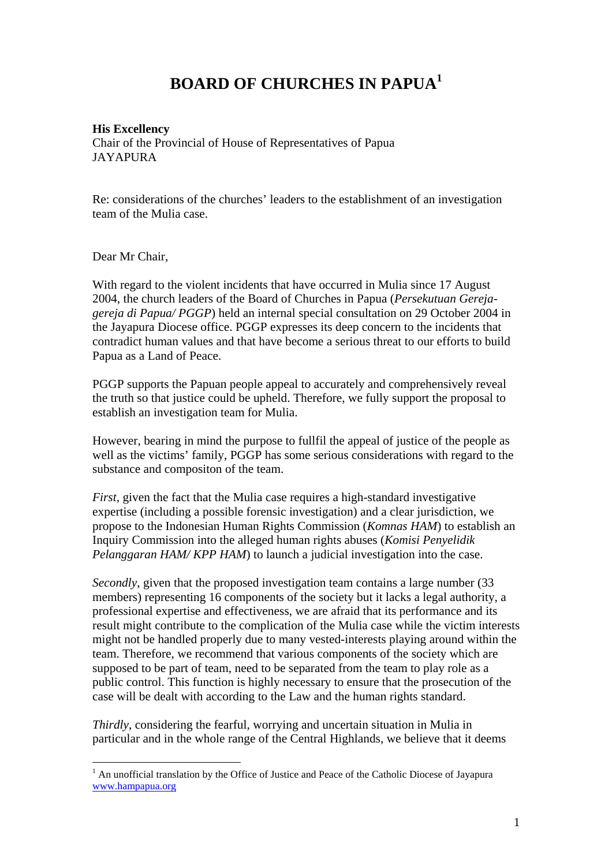## **BOARD OF CHURCHES IN PAPUA[1](#page-0-0)**

## **His Excellency**

Chair of the Provincial of House of Representatives of Papua **JAYAPURA** 

Re: considerations of the churches' leaders to the establishment of an investigation team of the Mulia case.

Dear Mr Chair,

 $\overline{a}$ 

With regard to the violent incidents that have occurred in Mulia since 17 August 2004, the church leaders of the Board of Churches in Papua (*Persekutuan Gerejagereja di Papua/ PGGP*) held an internal special consultation on 29 October 2004 in the Jayapura Diocese office. PGGP expresses its deep concern to the incidents that contradict human values and that have become a serious threat to our efforts to build Papua as a Land of Peace.

PGGP supports the Papuan people appeal to accurately and comprehensively reveal the truth so that justice could be upheld. Therefore, we fully support the proposal to establish an investigation team for Mulia.

However, bearing in mind the purpose to fullfil the appeal of justice of the people as well as the victims' family, PGGP has some serious considerations with regard to the substance and compositon of the team.

*First*, given the fact that the Mulia case requires a high-standard investigative expertise (including a possible forensic investigation) and a clear jurisdiction, we propose to the Indonesian Human Rights Commission (*Komnas HAM*) to establish an Inquiry Commission into the alleged human rights abuses (*Komisi Penyelidik Pelanggaran HAM/ KPP HAM*) to launch a judicial investigation into the case.

*Secondly*, given that the proposed investigation team contains a large number (33 members) representing 16 components of the society but it lacks a legal authority, a professional expertise and effectiveness, we are afraid that its performance and its result might contribute to the complication of the Mulia case while the victim interests might not be handled properly due to many vested-interests playing around within the team. Therefore, we recommend that various components of the society which are supposed to be part of team, need to be separated from the team to play role as a public control. This function is highly necessary to ensure that the prosecution of the case will be dealt with according to the Law and the human rights standard.

*Thirdly*, considering the fearful, worrying and uncertain situation in Mulia in particular and in the whole range of the Central Highlands, we believe that it deems

<span id="page-0-0"></span> $<sup>1</sup>$  An unofficial translation by the Office of Justice and Peace of the Catholic Diocese of Jayapura</sup> [www.hampapua.org](http://www.hampapua.org/)